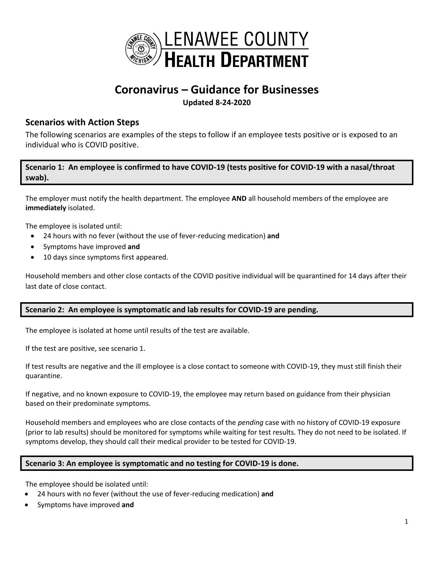

# **Coronavirus – Guidance for Businesses Updated 8-24-2020**

# **Scenarios with Action Steps**

The following scenarios are examples of the steps to follow if an employee tests positive or is exposed to an individual who is COVID positive.

**Scenario 1: An employee is confirmed to have COVID-19 (tests positive for COVID-19 with a nasal/throat swab).**

The employer must notify the health department. The employee **AND** all household members of the employee are **immediately** isolated.

The employee is isolated until:

- 24 hours with no fever (without the use of fever-reducing medication) **and**
- Symptoms have improved **and**
- 10 days since symptoms first appeared.

Household members and other close contacts of the COVID positive individual will be quarantined for 14 days after their last date of close contact.

## **Scenario 2: An employee is symptomatic and lab results for COVID-19 are pending.**

The employee is isolated at home until results of the test are available.

If the test are positive, see scenario 1.

If test results are negative and the ill employee is a close contact to someone with COVID-19, they must still finish their quarantine.

If negative, and no known exposure to COVID-19, the employee may return based on guidance from their physician based on their predominate symptoms.

Household members and employees who are close contacts of the *pending* case with no history of COVID-19 exposure (prior to lab results) should be monitored for symptoms while waiting for test results. They do not need to be isolated. If symptoms develop, they should call their medical provider to be tested for COVID-19.

## **Scenario 3: An employee is symptomatic and no testing for COVID-19 is done.**

The employee should be isolated until:

- 24 hours with no fever (without the use of fever-reducing medication) **and**
- Symptoms have improved **and**